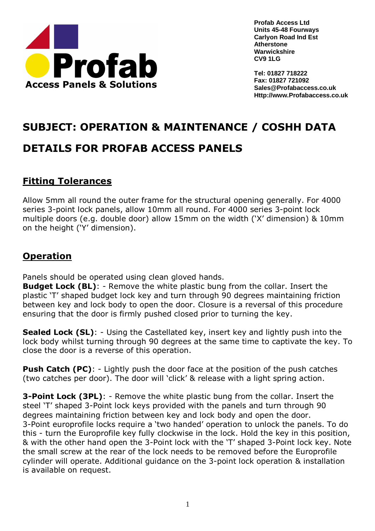

**Tel: 01827 718222 Fax: 01827 721092 Sales@Profabaccess.co.uk Http://www.Profabaccess.co.uk**

# **SUBJECT: OPERATION & MAINTENANCE / COSHH DATA**

## **DETAILS FOR PROFAB ACCESS PANELS**

## **Fitting Tolerances**

Allow 5mm all round the outer frame for the structural opening generally. For 4000 series 3-point lock panels, allow 10mm all round. For 4000 series 3-point lock multiple doors (e.g. double door) allow 15mm on the width ('X' dimension) & 10mm on the height ('Y' dimension).

## **Operation**

Panels should be operated using clean gloved hands.

**Budget Lock (BL):** - Remove the white plastic bung from the collar. Insert the plastic 'T' shaped budget lock key and turn through 90 degrees maintaining friction between key and lock body to open the door. Closure is a reversal of this procedure ensuring that the door is firmly pushed closed prior to turning the key.

**Sealed Lock (SL):** - Using the Castellated key, insert key and lightly push into the lock body whilst turning through 90 degrees at the same time to captivate the key. To close the door is a reverse of this operation.

**Push Catch (PC):** - Lightly push the door face at the position of the push catches (two catches per door). The door will 'click' & release with a light spring action.

**3-Point Lock (3PL)**: - Remove the white plastic bung from the collar. Insert the steel 'T' shaped 3-Point lock keys provided with the panels and turn through 90 degrees maintaining friction between key and lock body and open the door. 3-Point europrofile locks require a 'two handed' operation to unlock the panels. To do this - turn the Europrofile key fully clockwise in the lock. Hold the key in this position, & with the other hand open the 3-Point lock with the 'T' shaped 3-Point lock key. Note the small screw at the rear of the lock needs to be removed before the Europrofile cylinder will operate. Additional guidance on the 3-point lock operation & installation is available on request.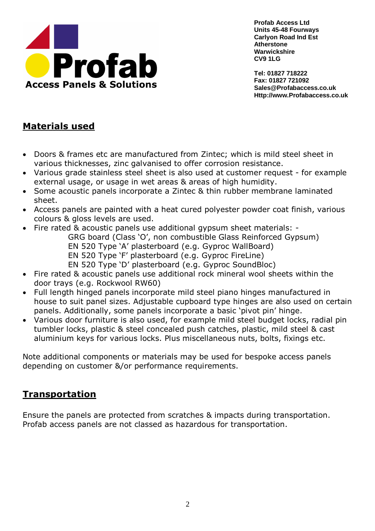

**Tel: 01827 718222 Fax: 01827 721092 Sales@Profabaccess.co.uk Http://www.Profabaccess.co.uk**

#### **Materials used**

- Doors & frames etc are manufactured from Zintec; which is mild steel sheet in various thicknesses, zinc galvanised to offer corrosion resistance.
- Various grade stainless steel sheet is also used at customer request for example external usage, or usage in wet areas & areas of high humidity.
- Some acoustic panels incorporate a Zintec & thin rubber membrane laminated sheet.
- Access panels are painted with a heat cured polyester powder coat finish, various colours & gloss levels are used.
- Fire rated & acoustic panels use additional gypsum sheet materials: -

GRG board (Class 'O', non combustible Glass Reinforced Gypsum)

- EN 520 Type 'A' plasterboard (e.g. Gyproc WallBoard)
- EN 520 Type 'F' plasterboard (e.g. Gyproc FireLine)
- EN 520 Type 'D' plasterboard (e.g. Gyproc SoundBloc)
- Fire rated & acoustic panels use additional rock mineral wool sheets within the door trays (e.g. Rockwool RW60)
- Full length hinged panels incorporate mild steel piano hinges manufactured in house to suit panel sizes. Adjustable cupboard type hinges are also used on certain panels. Additionally, some panels incorporate a basic 'pivot pin' hinge.
- Various door furniture is also used, for example mild steel budget locks, radial pin tumbler locks, plastic & steel concealed push catches, plastic, mild steel & cast aluminium keys for various locks. Plus miscellaneous nuts, bolts, fixings etc.

Note additional components or materials may be used for bespoke access panels depending on customer &/or performance requirements.

#### **Transportation**

Ensure the panels are protected from scratches & impacts during transportation. Profab access panels are not classed as hazardous for transportation.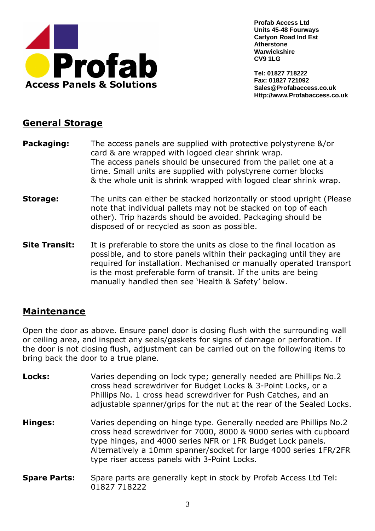

**Tel: 01827 718222 Fax: 01827 721092 Sales@Profabaccess.co.uk Http://www.Profabaccess.co.uk**

#### **General Storage**

- **Packaging:** The access panels are supplied with protective polystyrene &/or card & are wrapped with logoed clear shrink wrap. The access panels should be unsecured from the pallet one at a time. Small units are supplied with polystyrene corner blocks & the whole unit is shrink wrapped with logoed clear shrink wrap.
- **Storage:** The units can either be stacked horizontally or stood upright (Please note that individual pallets may not be stacked on top of each other). Trip hazards should be avoided. Packaging should be disposed of or recycled as soon as possible.
- **Site Transit:** It is preferable to store the units as close to the final location as possible, and to store panels within their packaging until they are required for installation. Mechanised or manually operated transport is the most preferable form of transit. If the units are being manually handled then see 'Health & Safety' below.

### **Maintenance**

Open the door as above. Ensure panel door is closing flush with the surrounding wall or ceiling area, and inspect any seals/gaskets for signs of damage or perforation. If the door is not closing flush, adjustment can be carried out on the following items to bring back the door to a true plane.

- **Locks:** Varies depending on lock type; generally needed are Phillips No.2 cross head screwdriver for Budget Locks & 3-Point Locks, or a Phillips No. 1 cross head screwdriver for Push Catches, and an adjustable spanner/grips for the nut at the rear of the Sealed Locks.
- **Hinges:** Varies depending on hinge type. Generally needed are Phillips No.2 cross head screwdriver for 7000, 8000 & 9000 series with cupboard type hinges, and 4000 series NFR or 1FR Budget Lock panels. Alternatively a 10mm spanner/socket for large 4000 series 1FR/2FR type riser access panels with 3-Point Locks.
- **Spare Parts:** Spare parts are generally kept in stock by Profab Access Ltd Tel: 01827 718222